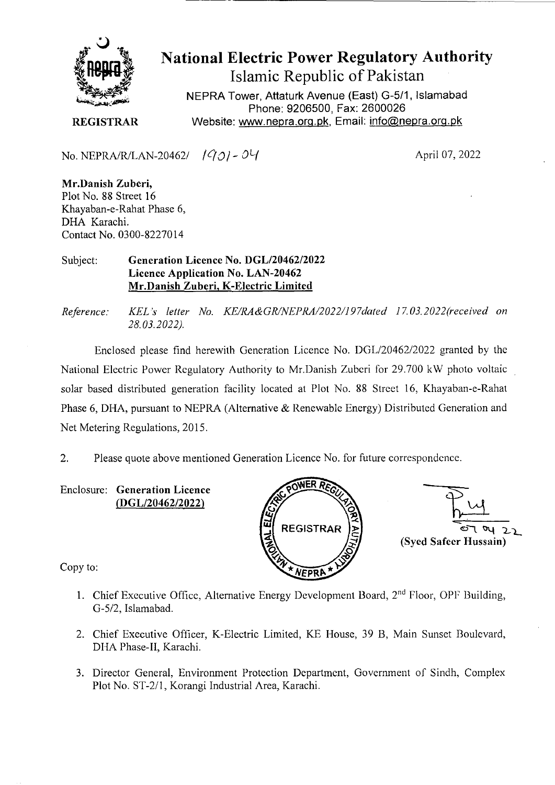

## National Electric Power Regulatory Authority Islamic Republic of Pakistan

NEPRA Tower, Attaturk Avenue (East) G-511, Islamabad Phone: 9206500, Fax: 2600026 **REGISTRAR** Website: www.nepra.org.pk, Email: info@nepra.org.pk

No. NEPRA/R/LAN-20462/  $1931 - 04$ 

April 07, 2022

**Mr.Danish Zuberi,**  Plot No. 88 Street 16 Khayaban-e-Rahat Phase 6, DHA Karachi. Contact No. 0300-82270 14

Subject: **Generation Licence No.** *DGL12046212022*  **Licence Application No. LAN-20462 Mr.Danish Zuberi, K-Electric Limited** 

*Reference: KELs letter No. KE/RA&GRINEPRA/2022/197da1ed ]7.03.2022(received on 28.03.2022).* 

Enclosed please find herewith Generation Licence No. DGL/20462/2022 granted by the National Electric Power Regulatory Authority to Mr.Danish Zuberi for 29.700 kW photo voltaic solar based distributed generation facility located at Plot No. 88 Street 16, Khayaban-e-Rahat Phase 6, DHA, pursuant to NEPRA (Alternative & Renewable Energy) Distributed Generation and Net Metering Regulations, 2015.

2. Please quote above mentioned Generation Licence No. for future correspondence.

Enclosure: **Generation Licence**  *(DGL120462/2022)* 



 $22$ **(Syed Safeer Hussain)** 

Copy to:

- 1. Chief Executive Office, Alternative Energy Development Board, 2<sup>nd</sup> Floor, OPF Building, G-5/2, Islamabad.
- 2. Chief Executive Officer, K-Electric Limited, KE House, 39 B, Main Sunset Boulevard, DHA Phase-II, Karachi.
- 3. Director General, Environment Protection Department, Government of Sindh, Complex Plot No. ST-2/1, Korangi Industrial Area, Karachi.